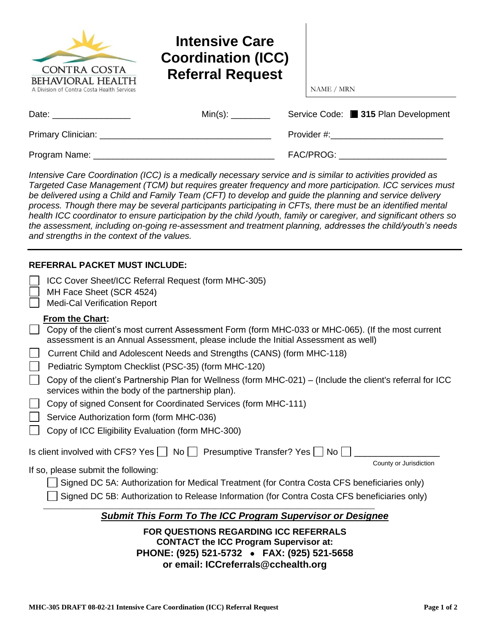| <b>CONTRA COSTA</b><br><b>BEHAVIORAL HEALTH</b><br>A Division of Contra Costa Health Services | <b>Intensive Care</b><br><b>Coordination (ICC)</b><br><b>Referral Request</b> | NAME / MRN                                                                                                                                                                                                                     |
|-----------------------------------------------------------------------------------------------|-------------------------------------------------------------------------------|--------------------------------------------------------------------------------------------------------------------------------------------------------------------------------------------------------------------------------|
| Date: _________________                                                                       |                                                                               | Service Code: ■ 315 Plan Development                                                                                                                                                                                           |
|                                                                                               |                                                                               | Provider #: The contract of the contract of the contract of the contract of the contract of the contract of the contract of the contract of the contract of the contract of the contract of the contract of the contract of th |
| Program Name:                                                                                 |                                                                               | FAC/PROG:                                                                                                                                                                                                                      |

*Intensive Care Coordination (ICC) is a medically necessary service and is similar to activities provided as Targeted Case Management (TCM) but requires greater frequency and more participation. ICC services must be delivered using a Child and Family Team (CFT) to develop and guide the planning and service delivery process. Though there may be several participants participating in CFTs, there must be an identified mental health ICC coordinator to ensure participation by the child /youth, family or caregiver, and significant others so the assessment, including on-going re-assessment and treatment planning, addresses the child/youth's needs and strengths in the context of the values.*

## **REFERRAL PACKET MUST INCLUDE:**

| ICC Cover Sheet/ICC Referral Request (form MHC-305)<br>MH Face Sheet (SCR 4524)<br><b>Medi-Cal Verification Report</b>                                                                                                                                                                                                                                                                                                                                                                                                                                                                                                                                                              |
|-------------------------------------------------------------------------------------------------------------------------------------------------------------------------------------------------------------------------------------------------------------------------------------------------------------------------------------------------------------------------------------------------------------------------------------------------------------------------------------------------------------------------------------------------------------------------------------------------------------------------------------------------------------------------------------|
| From the Chart:<br>Copy of the client's most current Assessment Form (form MHC-033 or MHC-065). (If the most current<br>assessment is an Annual Assessment, please include the Initial Assessment as well)<br>Current Child and Adolescent Needs and Strengths (CANS) (form MHC-118)<br>Pediatric Symptom Checklist (PSC-35) (form MHC-120)<br>Copy of the client's Partnership Plan for Wellness (form MHC-021) – (Include the client's referral for ICC<br>services within the body of the partnership plan).<br>Copy of signed Consent for Coordinated Services (form MHC-111)<br>Service Authorization form (form MHC-036)<br>Copy of ICC Eligibility Evaluation (form MHC-300) |
| Is client involved with CFS? Yes $\vert \ \vert$ No $\vert \ \vert$ Presumptive Transfer? Yes $\vert \ \vert$ No                                                                                                                                                                                                                                                                                                                                                                                                                                                                                                                                                                    |
| County or Jurisdiction<br>If so, please submit the following:<br>Signed DC 5A: Authorization for Medical Treatment (for Contra Costa CFS beneficiaries only)<br>Signed DC 5B: Authorization to Release Information (for Contra Costa CFS beneficiaries only)                                                                                                                                                                                                                                                                                                                                                                                                                        |
| Submit This Form To The ICC Program Supervisor or Designee                                                                                                                                                                                                                                                                                                                                                                                                                                                                                                                                                                                                                          |
| <b>FOR QUESTIONS REGARDING ICC REFERRALS</b><br><b>CONTACT the ICC Program Supervisor at:</b>                                                                                                                                                                                                                                                                                                                                                                                                                                                                                                                                                                                       |

**PHONE: (925) 521-5732** • **FAX: (925) 521-5658**

**or email: ICCreferrals@cchealth.org**